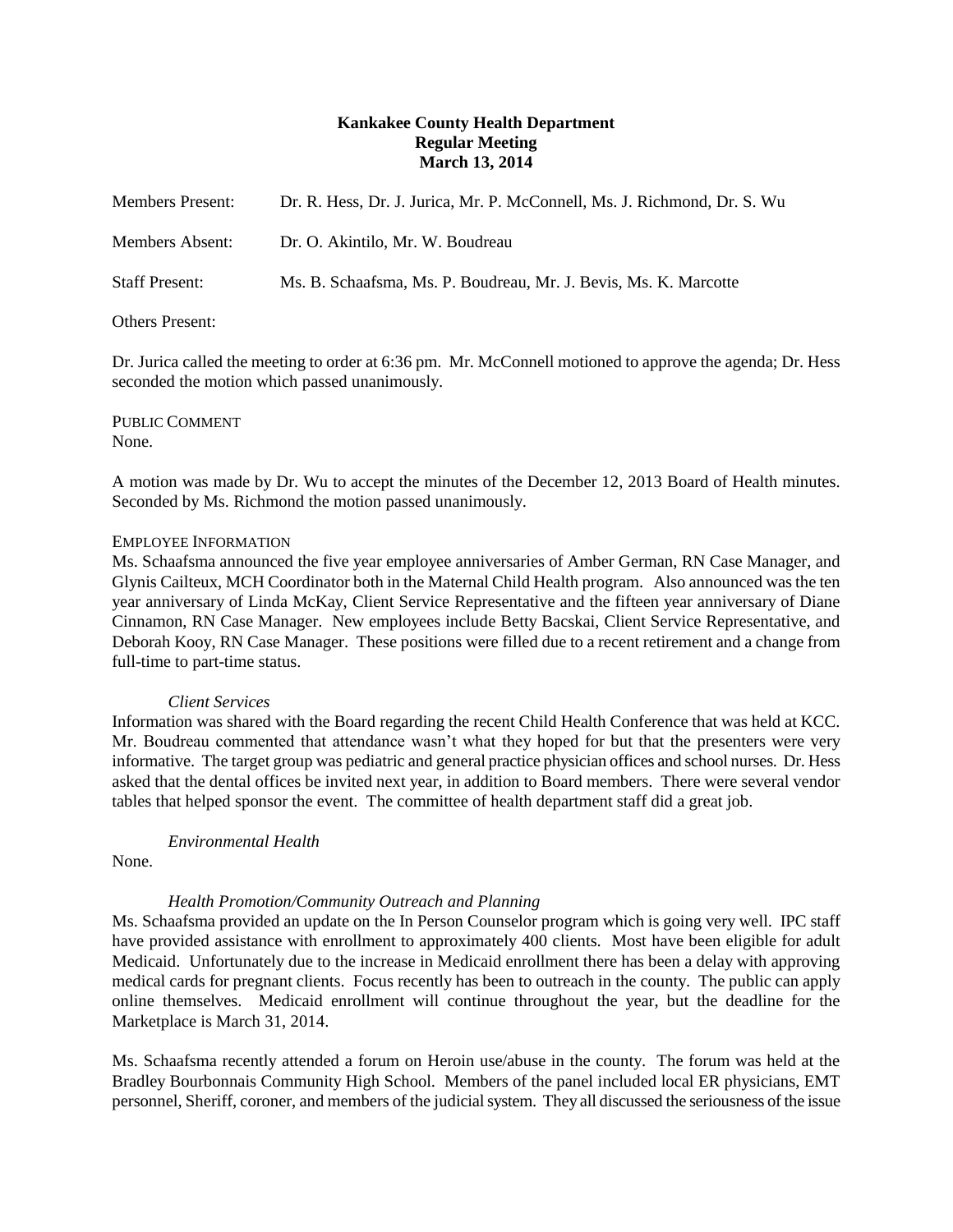# **Kankakee County Health Department Regular Meeting March 13, 2014**

| <b>Members Present:</b> | Dr. R. Hess, Dr. J. Jurica, Mr. P. McConnell, Ms. J. Richmond, Dr. S. Wu |
|-------------------------|--------------------------------------------------------------------------|
| Members Absent:         | Dr. O. Akintilo, Mr. W. Boudreau                                         |
| <b>Staff Present:</b>   | Ms. B. Schaafsma, Ms. P. Boudreau, Mr. J. Bevis, Ms. K. Marcotte         |
| <b>Others Present:</b>  |                                                                          |

Dr. Jurica called the meeting to order at 6:36 pm. Mr. McConnell motioned to approve the agenda; Dr. Hess seconded the motion which passed unanimously.

PUBLIC COMMENT None.

A motion was made by Dr. Wu to accept the minutes of the December 12, 2013 Board of Health minutes. Seconded by Ms. Richmond the motion passed unanimously.

## EMPLOYEE INFORMATION

Ms. Schaafsma announced the five year employee anniversaries of Amber German, RN Case Manager, and Glynis Cailteux, MCH Coordinator both in the Maternal Child Health program. Also announced was the ten year anniversary of Linda McKay, Client Service Representative and the fifteen year anniversary of Diane Cinnamon, RN Case Manager. New employees include Betty Bacskai, Client Service Representative, and Deborah Kooy, RN Case Manager. These positions were filled due to a recent retirement and a change from full-time to part-time status.

#### *Client Services*

Information was shared with the Board regarding the recent Child Health Conference that was held at KCC. Mr. Boudreau commented that attendance wasn't what they hoped for but that the presenters were very informative. The target group was pediatric and general practice physician offices and school nurses. Dr. Hess asked that the dental offices be invited next year, in addition to Board members. There were several vendor tables that helped sponsor the event. The committee of health department staff did a great job.

### *Environmental Health*

None.

### *Health Promotion/Community Outreach and Planning*

Ms. Schaafsma provided an update on the In Person Counselor program which is going very well. IPC staff have provided assistance with enrollment to approximately 400 clients. Most have been eligible for adult Medicaid. Unfortunately due to the increase in Medicaid enrollment there has been a delay with approving medical cards for pregnant clients. Focus recently has been to outreach in the county. The public can apply online themselves. Medicaid enrollment will continue throughout the year, but the deadline for the Marketplace is March 31, 2014.

Ms. Schaafsma recently attended a forum on Heroin use/abuse in the county. The forum was held at the Bradley Bourbonnais Community High School. Members of the panel included local ER physicians, EMT personnel, Sheriff, coroner, and members of the judicial system. They all discussed the seriousness of the issue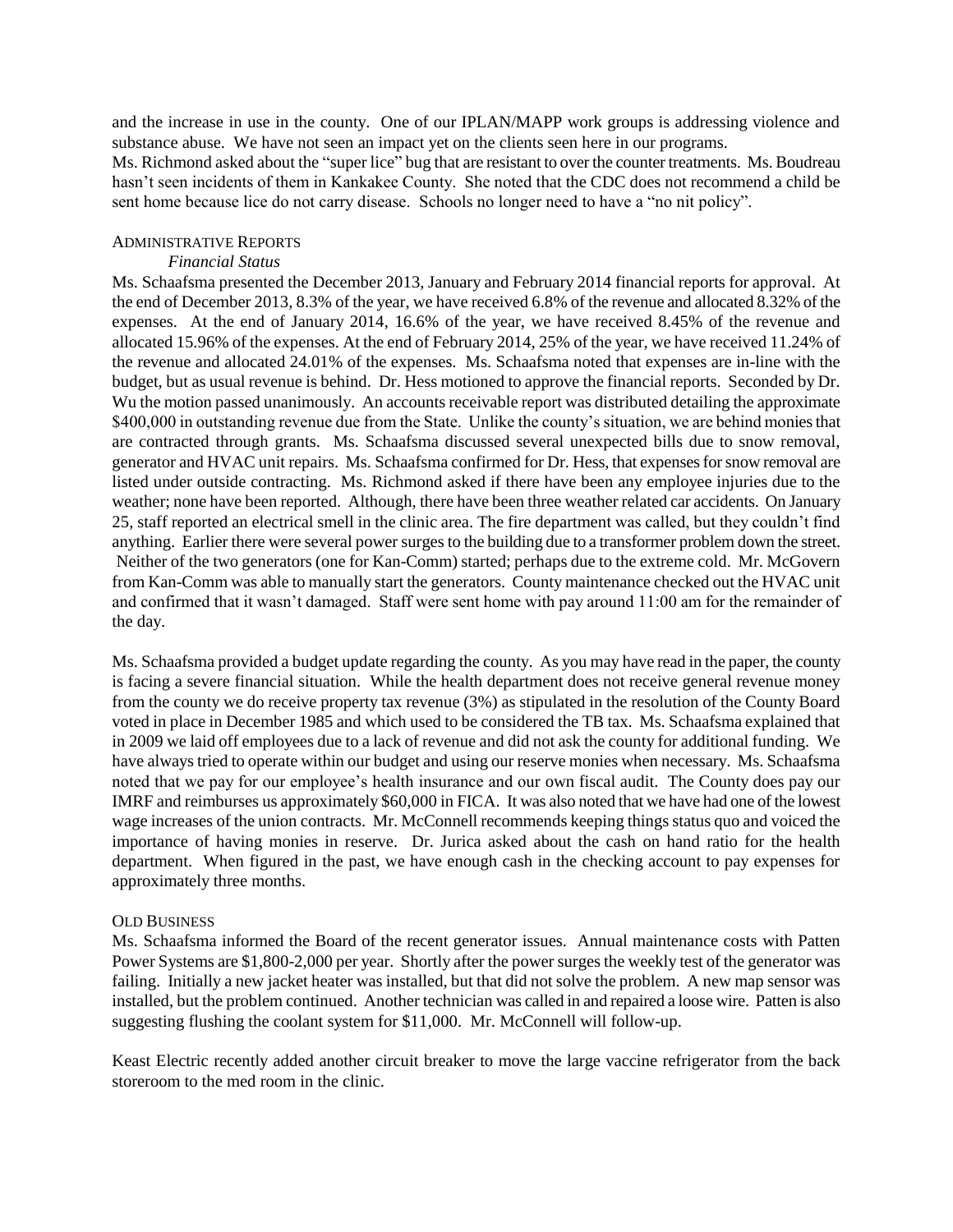and the increase in use in the county. One of our IPLAN/MAPP work groups is addressing violence and substance abuse. We have not seen an impact yet on the clients seen here in our programs.

Ms. Richmond asked about the "super lice" bug that are resistant to over the counter treatments. Ms. Boudreau hasn't seen incidents of them in Kankakee County. She noted that the CDC does not recommend a child be sent home because lice do not carry disease. Schools no longer need to have a "no nit policy".

## ADMINISTRATIVE REPORTS

### *Financial Status*

Ms. Schaafsma presented the December 2013, January and February 2014 financial reports for approval. At the end of December 2013, 8.3% of the year, we have received 6.8% of the revenue and allocated 8.32% of the expenses. At the end of January 2014, 16.6% of the year, we have received 8.45% of the revenue and allocated 15.96% of the expenses. At the end of February 2014, 25% of the year, we have received 11.24% of the revenue and allocated 24.01% of the expenses. Ms. Schaafsma noted that expenses are in-line with the budget, but as usual revenue is behind. Dr. Hess motioned to approve the financial reports. Seconded by Dr. Wu the motion passed unanimously. An accounts receivable report was distributed detailing the approximate \$400,000 in outstanding revenue due from the State. Unlike the county's situation, we are behind monies that are contracted through grants. Ms. Schaafsma discussed several unexpected bills due to snow removal, generator and HVAC unit repairs. Ms. Schaafsma confirmed for Dr. Hess, that expenses for snow removal are listed under outside contracting. Ms. Richmond asked if there have been any employee injuries due to the weather; none have been reported. Although, there have been three weather related car accidents. On January 25, staff reported an electrical smell in the clinic area. The fire department was called, but they couldn't find anything. Earlier there were several power surges to the building due to a transformer problem down the street. Neither of the two generators (one for Kan-Comm) started; perhaps due to the extreme cold. Mr. McGovern from Kan-Comm was able to manually start the generators. County maintenance checked out the HVAC unit and confirmed that it wasn't damaged. Staff were sent home with pay around 11:00 am for the remainder of the day.

Ms. Schaafsma provided a budget update regarding the county. As you may have read in the paper, the county is facing a severe financial situation. While the health department does not receive general revenue money from the county we do receive property tax revenue (3%) as stipulated in the resolution of the County Board voted in place in December 1985 and which used to be considered the TB tax. Ms. Schaafsma explained that in 2009 we laid off employees due to a lack of revenue and did not ask the county for additional funding. We have always tried to operate within our budget and using our reserve monies when necessary. Ms. Schaafsma noted that we pay for our employee's health insurance and our own fiscal audit. The County does pay our IMRF and reimburses us approximately \$60,000 in FICA. It was also noted that we have had one of the lowest wage increases of the union contracts. Mr. McConnell recommends keeping things status quo and voiced the importance of having monies in reserve. Dr. Jurica asked about the cash on hand ratio for the health department. When figured in the past, we have enough cash in the checking account to pay expenses for approximately three months.

#### OLD BUSINESS

Ms. Schaafsma informed the Board of the recent generator issues. Annual maintenance costs with Patten Power Systems are \$1,800-2,000 per year. Shortly after the power surges the weekly test of the generator was failing. Initially a new jacket heater was installed, but that did not solve the problem. A new map sensor was installed, but the problem continued. Another technician was called in and repaired a loose wire. Patten is also suggesting flushing the coolant system for \$11,000. Mr. McConnell will follow-up.

Keast Electric recently added another circuit breaker to move the large vaccine refrigerator from the back storeroom to the med room in the clinic.